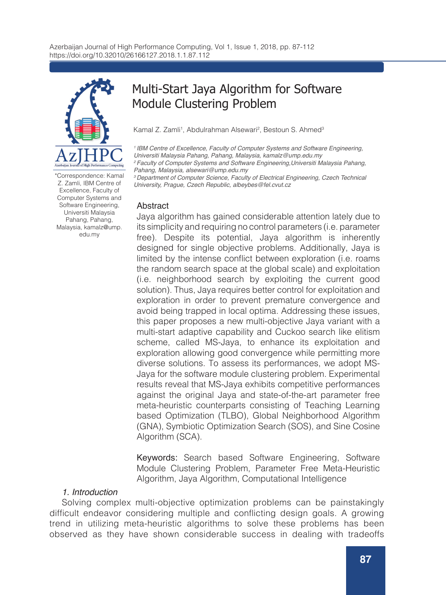

\*Correspondence: Kamal Z. Zamli, IBM Centre of Excellence, Faculty of Computer Systems and Software Engineering, Universiti Malaysia Pahang, Pahang, Malaysia, kamalz@ump. edu.my

# Multi-Start Jaya Algorithm for Software Module Clustering Problem

Kamal Z. Zamli<sup>1</sup>, Abdulrahman Alsewari<sup>2</sup>, Bestoun S. Ahmed<sup>3</sup>

*1 IBM Centre of Excellence, Faculty of Computer Systems and Software Engineering, Universiti Malaysia Pahang, Pahang, Malaysia, kamalz@ump.edu.my 2 Faculty of Computer Systems and Software Engineering,Universiti Malaysia Pahang, Pahang, Malaysia, alsewari@ump.edu.my* 

*3 Department of Computer Science, Faculty of Electrical Engineering, Czech Technical University, Prague, Czech Republic, albeybes@fel.cvut.cz*

### Abstract

Jaya algorithm has gained considerable attention lately due to its simplicity and requiring no control parameters (i.e. parameter free). Despite its potential, Jaya algorithm is inherently designed for single objective problems. Additionally, Jaya is limited by the intense conflict between exploration (i.e. roams the random search space at the global scale) and exploitation (i.e. neighborhood search by exploiting the current good solution). Thus, Jaya requires better control for exploitation and exploration in order to prevent premature convergence and avoid being trapped in local optima. Addressing these issues, this paper proposes a new multi-objective Jaya variant with a multi-start adaptive capability and Cuckoo search like elitism scheme, called MS-Jaya, to enhance its exploitation and exploration allowing good convergence while permitting more diverse solutions. To assess its performances, we adopt MS-Jaya for the software module clustering problem. Experimental results reveal that MS-Jaya exhibits competitive performances against the original Jaya and state-of-the-art parameter free meta-heuristic counterparts consisting of Teaching Learning based Optimization (TLBO), Global Neighborhood Algorithm (GNA), Symbiotic Optimization Search (SOS), and Sine Cosine Algorithm (SCA).

Keywords: Search based Software Engineering, Software Module Clustering Problem, Parameter Free Meta-Heuristic Algorithm, Jaya Algorithm, Computational Intelligence

## *1. Introduction*

Solving complex multi-objective optimization problems can be painstakingly difficult endeavor considering multiple and conflicting design goals. A growing trend in utilizing meta-heuristic algorithms to solve these problems has been observed as they have shown considerable success in dealing with tradeoffs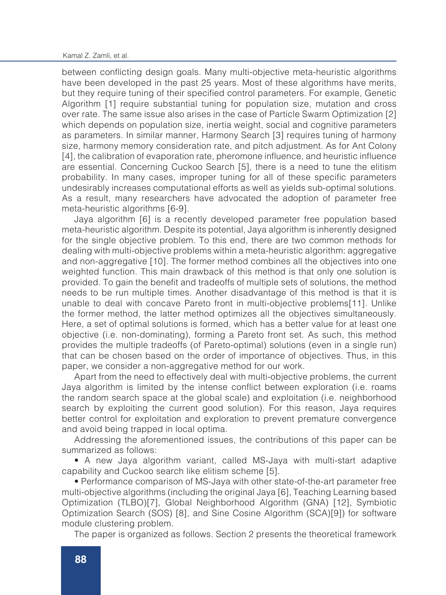#### Kamal Z. Zamli, et al.

between conflicting design goals. Many multi-objective meta-heuristic algorithms have been developed in the past 25 years. Most of these algorithms have merits, but they require tuning of their specified control parameters. For example, Genetic Algorithm [1] require substantial tuning for population size, mutation and cross over rate. The same issue also arises in the case of Particle Swarm Optimization [2] which depends on population size, inertia weight, social and cognitive parameters as parameters. In similar manner, Harmony Search [3] requires tuning of harmony size, harmony memory consideration rate, and pitch adjustment. As for Ant Colony [4], the calibration of evaporation rate, pheromone influence, and heuristic influence are essential. Concerning Cuckoo Search [5], there is a need to tune the elitism probability. In many cases, improper tuning for all of these specific parameters undesirably increases computational efforts as well as yields sub-optimal solutions. As a result, many researchers have advocated the adoption of parameter free meta-heuristic algorithms [6-9].

Jaya algorithm [6] is a recently developed parameter free population based meta-heuristic algorithm. Despite its potential, Jaya algorithm is inherently designed for the single objective problem. To this end, there are two common methods for dealing with multi-objective problems within a meta-heuristic algorithm: aggregative and non-aggregative [10]. The former method combines all the objectives into one weighted function. This main drawback of this method is that only one solution is provided. To gain the benefit and tradeoffs of multiple sets of solutions, the method needs to be run multiple times. Another disadvantage of this method is that it is unable to deal with concave Pareto front in multi-objective problems[11]. Unlike the former method, the latter method optimizes all the objectives simultaneously. Here, a set of optimal solutions is formed, which has a better value for at least one objective (i.e. non-dominating), forming a Pareto front set. As such, this method provides the multiple tradeoffs (of Pareto-optimal) solutions (even in a single run) that can be chosen based on the order of importance of objectives. Thus, in this paper, we consider a non-aggregative method for our work.

Apart from the need to effectively deal with multi-objective problems, the current Jaya algorithm is limited by the intense conflict between exploration (i.e. roams the random search space at the global scale) and exploitation (i.e. neighborhood search by exploiting the current good solution). For this reason, Jaya requires better control for exploitation and exploration to prevent premature convergence and avoid being trapped in local optima.

Addressing the aforementioned issues, the contributions of this paper can be summarized as follows:

• A new Jaya algorithm variant, called MS-Jaya with multi-start adaptive capability and Cuckoo search like elitism scheme [5].

• Performance comparison of MS-Jaya with other state-of-the-art parameter free multi-objective algorithms (including the original Jaya [6], Teaching Learning based Optimization (TLBO)[7], Global Neighborhood Algorithm (GNA) [12], Symbiotic Optimization Search (SOS) [8], and Sine Cosine Algorithm (SCA)[9]) for software module clustering problem.

The paper is organized as follows. Section 2 presents the theoretical framework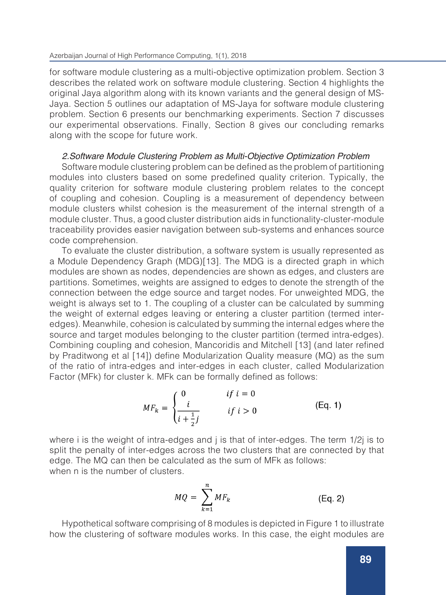for software module clustering as a multi-objective optimization problem. Section 3 describes the related work on software module clustering. Section 4 highlights the original Jaya algorithm along with its known variants and the general design of MS-Jaya. Section 5 outlines our adaptation of MS-Jaya for software module clustering problem. Section 6 presents our benchmarking experiments. Section 7 discusses our experimental observations. Finally, Section 8 gives our concluding remarks along with the scope for future work.

#### *2.Software Module Clustering Problem as Multi-Objective Optimization Problem*

Software module clustering problem can be defined as the problem of partitioning modules into clusters based on some predefined quality criterion. Typically, the quality criterion for software module clustering problem relates to the concept of coupling and cohesion. Coupling is a measurement of dependency between module clusters whilst cohesion is the measurement of the internal strength of a module cluster. Thus, a good cluster distribution aids in functionality-cluster-module traceability provides easier navigation between sub-systems and enhances source code comprehension.

To evaluate the cluster distribution, a software system is usually represented as a Module Dependency Graph (MDG)[13]. The MDG is a directed graph in which modules are shown as nodes, dependencies are shown as edges, and clusters are partitions. Sometimes, weights are assigned to edges to denote the strength of the connection between the edge source and target nodes. For unweighted MDG, the weight is always set to 1. The coupling of a cluster can be calculated by summing the weight of external edges leaving or entering a cluster partition (termed interedges). Meanwhile, cohesion is calculated by summing the internal edges where the source and target modules belonging to the cluster partition (termed intra-edges). Combining coupling and cohesion, Mancoridis and Mitchell [13] (and later refined by Praditwong et al [14]) define Modularization Quality measure (MQ) as the sum of the ratio of intra-edges and inter-edges in each cluster, called Modularization Factor (MFk) for cluster k. MFk can be formally defined as follows:

$$
MF_k = \begin{cases} 0 & \text{if } i = 0\\ \frac{i}{i + \frac{1}{2}j} & \text{if } i > 0 \end{cases}
$$
 (Eq. 1)

where i is the weight of intra-edges and *i* is that of inter-edges. The term  $1/2$ *j* is to split the penalty of inter-edges across the two clusters that are connected by that edge. The MQ can then be calculated as the sum of MFk as follows: when n is the number of clusters.

$$
MQ = \sum_{k=1}^{n} MF_k
$$
 (Eq. 2)

Hypothetical software comprising of 8 modules is depicted in Figure 1 to illustrate how the clustering of software modules works. In this case, the eight modules are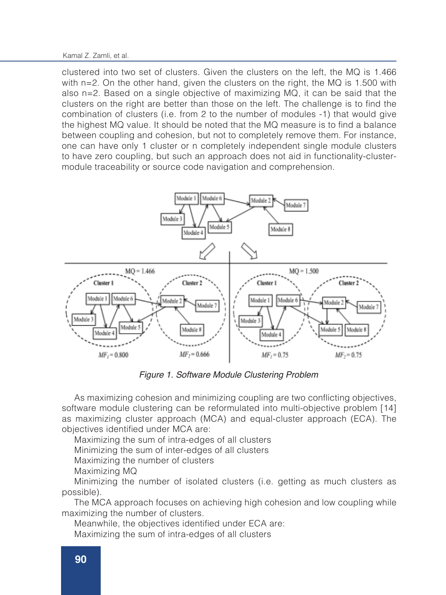Kamal Z. Zamli, et al.

clustered into two set of clusters. Given the clusters on the left, the MQ is 1.466 with n=2. On the other hand, given the clusters on the right, the MQ is 1.500 with also n=2. Based on a single objective of maximizing MQ, it can be said that the clusters on the right are better than those on the left. The challenge is to find the combination of clusters (i.e. from 2 to the number of modules -1) that would give the highest MQ value. It should be noted that the MQ measure is to find a balance between coupling and cohesion, but not to completely remove them. For instance, one can have only 1 cluster or n completely independent single module clusters to have zero coupling, but such an approach does not aid in functionality-clustermodule traceability or source code navigation and comprehension.



*Figure 1. Software Module Clustering Problem*

As maximizing cohesion and minimizing coupling are two conflicting objectives, software module clustering can be reformulated into multi-objective problem [14] as maximizing cluster approach (MCA) and equal-cluster approach (ECA). The objectives identified under MCA are:

Maximizing the sum of intra-edges of all clusters

Minimizing the sum of inter-edges of all clusters

Maximizing the number of clusters

Maximizing MQ

Minimizing the number of isolated clusters (i.e. getting as much clusters as possible).

The MCA approach focuses on achieving high cohesion and low coupling while maximizing the number of clusters.

Meanwhile, the objectives identified under ECA are:

Maximizing the sum of intra-edges of all clusters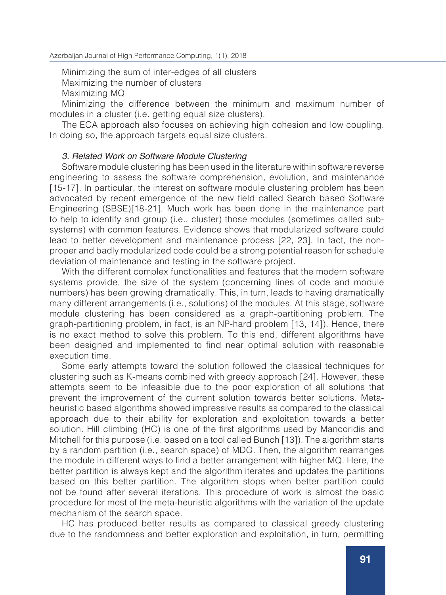Minimizing the sum of inter-edges of all clusters Maximizing the number of clusters

Maximizing MQ

Minimizing the difference between the minimum and maximum number of modules in a cluster (i.e. getting equal size clusters).

The ECA approach also focuses on achieving high cohesion and low coupling. In doing so, the approach targets equal size clusters.

### *3. Related Work on Software Module Clustering*

Software module clustering has been used in the literature within software reverse engineering to assess the software comprehension, evolution, and maintenance [15-17]. In particular, the interest on software module clustering problem has been advocated by recent emergence of the new field called Search based Software Engineering (SBSE)[18-21]. Much work has been done in the maintenance part to help to identify and group (i.e., cluster) those modules (sometimes called subsystems) with common features. Evidence shows that modularized software could lead to better development and maintenance process [22, 23]. In fact, the nonproper and badly modularized code could be a strong potential reason for schedule deviation of maintenance and testing in the software project.

With the different complex functionalities and features that the modern software systems provide, the size of the system (concerning lines of code and module numbers) has been growing dramatically. This, in turn, leads to having dramatically many different arrangements (i.e., solutions) of the modules. At this stage, software module clustering has been considered as a graph-partitioning problem. The graph-partitioning problem, in fact, is an NP-hard problem [13, 14]). Hence, there is no exact method to solve this problem. To this end, different algorithms have been designed and implemented to find near optimal solution with reasonable execution time.

Some early attempts toward the solution followed the classical techniques for clustering such as K-means combined with greedy approach [24]. However, these attempts seem to be infeasible due to the poor exploration of all solutions that prevent the improvement of the current solution towards better solutions. Metaheuristic based algorithms showed impressive results as compared to the classical approach due to their ability for exploration and exploitation towards a better solution. Hill climbing (HC) is one of the first algorithms used by Mancoridis and Mitchell for this purpose (i.e. based on a tool called Bunch [13]). The algorithm starts by a random partition (i.e., search space) of MDG. Then, the algorithm rearranges the module in different ways to find a better arrangement with higher MQ. Here, the better partition is always kept and the algorithm iterates and updates the partitions based on this better partition. The algorithm stops when better partition could not be found after several iterations. This procedure of work is almost the basic procedure for most of the meta-heuristic algorithms with the variation of the update mechanism of the search space.

HC has produced better results as compared to classical greedy clustering due to the randomness and better exploration and exploitation, in turn, permitting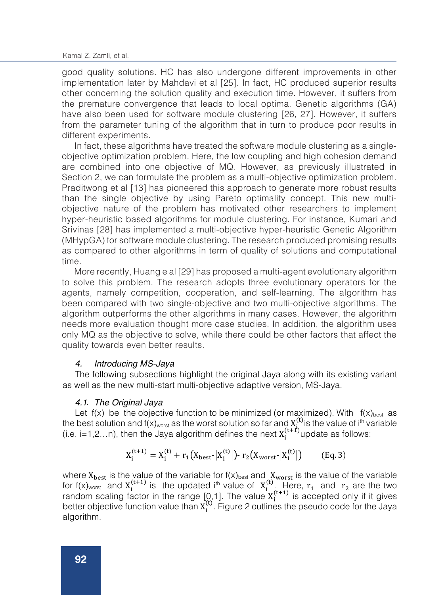good quality solutions. HC has also undergone different improvements in other implementation later by Mahdavi et al [25]. In fact, HC produced superior results other concerning the solution quality and execution time. However, it suffers from the premature convergence that leads to local optima. Genetic algorithms (GA) have also been used for software module clustering [26, 27]. However, it suffers from the parameter tuning of the algorithm that in turn to produce poor results in different experiments.

In fact, these algorithms have treated the software module clustering as a singleobjective optimization problem. Here, the low coupling and high cohesion demand are combined into one objective of MQ. However, as previously illustrated in Section 2, we can formulate the problem as a multi-objective optimization problem. Praditwong et al [13] has pioneered this approach to generate more robust results than the single objective by using Pareto optimality concept. This new multiobjective nature of the problem has motivated other researchers to implement hyper-heuristic based algorithms for module clustering. For instance, Kumari and Srivinas [28] has implemented a multi-objective hyper-heuristic Genetic Algorithm (MHypGA) for software module clustering. The research produced promising results as compared to other algorithms in term of quality of solutions and computational time.

More recently, Huang e al [29] has proposed a multi-agent evolutionary algorithm to solve this problem. The research adopts three evolutionary operators for the agents, namely competition, cooperation, and self-learning. The algorithm has been compared with two single-objective and two multi-objective algorithms. The algorithm outperforms the other algorithms in many cases. However, the algorithm needs more evaluation thought more case studies. In addition, the algorithm uses only MQ as the objective to solve, while there could be other factors that affect the quality towards even better results.

### *4. Introducing MS-Jaya*

The following subsections highlight the original Jaya along with its existing variant as well as the new multi-start multi-objective adaptive version, MS-Jaya.

### *4.1 The Original Jaya* .

[4]. Set population size, n

Let  $f(x)$  be the objective function to be minimized (or maximized). With  $f(x)_{best}$  as the best solution and  $f(x)_{worst}$  as the worst solution so far and  $X_i^{(t)}$  is the value of i<sup>th</sup> variable (i.e. i=1,2...n), then the Jaya algorithm defines the next  $X_i^{(t+1)}$ update as follows:

$$
X_i^{(t+1)} = X_i^{(t)} + r_1 \big( X_{\text{best}} \big| X_i^{(t)} \big| \big) \cdot r_2 \big( X_{\text{worst}} \big| X_i^{(t)} \big| \big) \qquad \text{(Eq. 3)}
$$

where  $X_{best}$  is the value of the variable for  $f(x)_{best}$  and  $X_{worst}$  is the value of the variable for  $f(x)_{\text{worst}}$  and  $X_i^{(t+1)}$  is the updated i<sup>th</sup> value of  $X_i^{(t)}$ . Here,  $r_1$  and  $r_2$  are the two random scaling factor in the range  $[0,1]$ . The value  $X_i^{(t+1)}$  is accepted only if it gives better objective function value than  $X_i^{(t)}$ . Figure 2 outlines the pseudo code for the Jaya algorithm.

 $\overline{\mathcal{M}}$  and the updated population  $\mathcal{M}$  and  $\mathcal{M}$   $\mathcal{M}$   $\mathcal{M}$   $\mathcal{M}$   $\mathcal{M}$   $\mathcal{M}$ 

 $\mathbb{Z}[\mathbb{Z}[\mathbb{Z}[\mathbb{Z}[\mathbb{Z}[\mathbb{Z}[\mathbb{Z}[\mathbb{Z}[\mathbb{Z}[\mathbb{Z}[\mathbb{Z}[\mathbb{Z}[\mathbb{Z}[\mathbb{Z}[\mathbb{Z}[\mathbb{Z}[\mathbb{Z}[\mathbb{Z}[\mathbb{Z}[\mathbb{Z}[\mathbb{Z}[\mathbb{Z}[\mathbb{Z}[\mathbb{Z}[\mathbb{Z}[\mathbb{Z}[\mathbb{Z}[\mathbb{Z}[\mathbb{Z}[\mathbb{Z}[\mathbb{Z}[\mathbb{Z}[\mathbb{Z}[\mathbb{Z}[\mathbb{Z}[\mathbb{Z}[\mathbb{$ 

[5]. While (stopping criteria not met (i.e. t < T))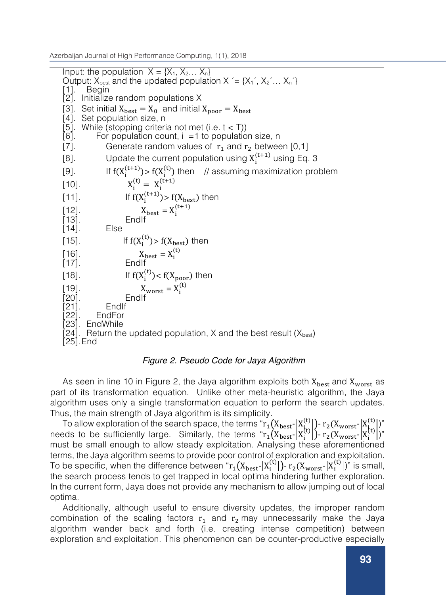Input: the population  $X = \{X_1, X_2, \ldots, X_n\}$ Output:  $X_{best}$  and the updated population  $X = \{X_1, X_2, \ldots, X_n\}$ [1]. Begin [2]. Initialize random populations X [3]. Set initial  $X_{best} = X_0$  and initial  $X_{poor} = X_{best}$ [4]. Set population size, n [5]. While (stopping criteria not met (i.e.  $t < T$ ))  $[6]$ . For population count,  $i = 1$  to population size, n [7]. Generate random values of  $r_1$  and  $r_2$  between [0,1]<br>[8]. Update the current population using  $X_i^{(t+1)}$  using Eq [8]. Update the current population using  $X_i^{(t+1)}$  using Eq. 3 [9]. If  $f(X_i^{(t+1)}) > f(X_i^{(t)})$  then // assuming maximization problem  $[10]$ .  $X_i^{(t)} = X_i^{(t+1)}$ [11]. If  $f(X_i^{(t+1)}) > f(X_{best})$  then  $[X_{\text{best}} = X_i^{(t+1)}]$ [13]. EndIt<br>[14]. Else  $[14]$ . [15]. If  $f(X_i^{(t)}) > f(X_{best})$  then [16].  $X_{best} = X_i^{(t)}$ [17]. EndIf [18]. If  $f(X_i^{(t)}) < f(X_{poor})$  then  $[X_{\text{worst}} = X_i^{(t)}]$ [20]. EndIf [21]. EndIf<br>[22]. EndFor [22]. EndFor<br>[23]. EndWhile **EndWhile** [24]. Return the updated population, X and the best result  $(X_{best})$ [25].End

### *Figure 2. Pseudo Code for Jaya Algorithm*

As seen in line 10 in Figure 2, the Jaya algorithm exploits both  $X_{best}$  and  $X_{worst}$  as part of its transformation equation. Unlike other meta-heuristic algorithm, the Jaya algorithm uses only a single transformation equation to perform the search updates. Thus, the main strength of Jaya algorithm is its simplicity.

To allow exploration of the search space, the terms " $r_1(X_{\text{best}} | X_{\text{t}}^{(t)}|)$ - $r_2(X_{\text{worst}} | X_{\text{t}}^{(t)}|)$ " needs to be sufficiently large. Similarly, the terms " $r_1(X_{best} - |X_i^{(t)}|) - r_2(X_{worst} - |X_i^{(t)}|)$ " must be small enough to allow steady exploitation. Analysing these aforementioned terms, the Jaya algorithm seems to provide poor control of exploration and exploitation. To be specific, when the difference between " $r_1(X_{best} - |X_i^{(t)}|)$ -  $r_2(X_{worst} - |X_i^{(t)}|)$ " is small, the search process tends to get trapped in local optima hindering further exploration. In the current form, Jaya does not provide any mechanism to allow jumping out of local optima.

Additionally, although useful to ensure diversity updates, the improper random combination of the scaling factors  $r_1$  and  $r_2$  may unnecessarily make the Jaya algorithm wander back and forth (i.e. creating intense competition) between exploration and exploitation. This phenomenon can be counter-productive especially

variants along with their applications followed by our proposed multi-objective MS-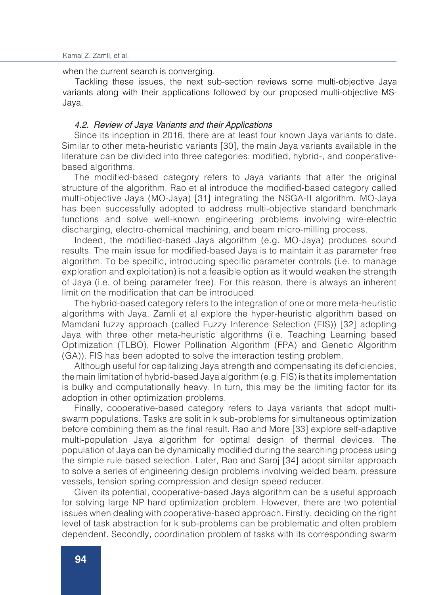when the current search is converging.

Tackling these issues, the next sub-section reviews some multi-objective Jaya variants along with their applications followed by our proposed multi-objective MS-Jaya.

### *4.2. Review of Jaya Variants and their Applications*

Since its inception in 2016, there are at least four known Jaya variants to date. Similar to other meta-heuristic variants [30], the main Jaya variants available in the literature can be divided into three categories: modified, hybrid-, and cooperativebased algorithms.

The modified-based category refers to Jaya variants that alter the original structure of the algorithm. Rao et al introduce the modified-based category called multi-objective Jaya (MO-Jaya) [31] integrating the NSGA-II algorithm. MO-Jaya has been successfully adopted to address multi-objective standard benchmark functions and solve well-known engineering problems involving wire-electric discharging, electro-chemical machining, and beam micro-milling process.

Indeed, the modified-based Jaya algorithm (e.g. MO-Jaya) produces sound results. The main issue for modified-based Jaya is to maintain it as parameter free algorithm. To be specific, introducing specific parameter controls (i.e. to manage exploration and exploitation) is not a feasible option as it would weaken the strength of Jaya (i.e. of being parameter free). For this reason, there is always an inherent limit on the modification that can be introduced.

The hybrid-based category refers to the integration of one or more meta-heuristic algorithms with Jaya. Zamli et al explore the hyper-heuristic algorithm based on Mamdani fuzzy approach (called Fuzzy Inference Selection (FIS)) [32] adopting Jaya with three other meta-heuristic algorithms (i.e. Teaching Learning based Optimization (TLBO), Flower Pollination Algorithm (FPA) and Genetic Algorithm (GA)). FIS has been adopted to solve the interaction testing problem.

Although useful for capitalizing Jaya strength and compensating its deficiencies, the main limitation of hybrid-based Jaya algorithm (e.g. FIS) is that its implementation is bulky and computationally heavy. In turn, this may be the limiting factor for its adoption in other optimization problems.

Finally, cooperative-based category refers to Jaya variants that adopt multiswarm populations. Tasks are split in k sub-problems for simultaneous optimization before combining them as the final result. Rao and More [33] explore self-adaptive multi-population Jaya algorithm for optimal design of thermal devices. The population of Jaya can be dynamically modified during the searching process using the simple rule based selection. Later, Rao and Saroj [34] adopt similar approach to solve a series of engineering design problems involving welded beam, pressure vessels, tension spring compression and design speed reducer.

Given its potential, cooperative-based Jaya algorithm can be a useful approach for solving large NP hard optimization problem. However, there are two potential issues when dealing with cooperative-based approach. Firstly, deciding on the right level of task abstraction for k sub-problems can be problematic and often problem dependent. Secondly, coordination problem of tasks with its corresponding swarm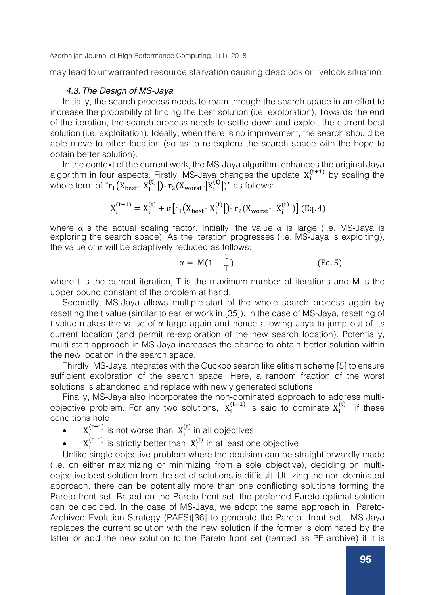may lead to unwarranted resource starvation causing deadlock or livelock situation.

### *4.3.The Design of MS-Jaya*

Initially, the search process needs to roam through the search space in an effort to increase the probability of finding the best solution (i.e. exploration). Towards the end of the iteration, the search process needs to settle down and exploit the current best solution (i.e. exploitation). Ideally, when there is no improvement, the search should be able move to other location (so as to re-explore the search space with the hope to obtain better solution).

In the context of the current work, the MS-Jaya algorithm enhances the original Jaya algorithm in four aspects. Firstly, MS-Jaya changes the update  $X_i^{(t+1)}$  by scaling the whole term of " $r_1(X_{\text{best}} | X_i^{(t)}|)$ -  $r_2(X_{\text{worst}} | X_i^{(t)}|)$ " as follows:

$$
X_i^{(t+1)} = X_i^{(t)} + \alpha [r_1(X_{best} | X_i^{(t)}|) - r_2(X_{worst} | X_i^{(t)}|)]
$$
 (Eq. 4)

where  $\alpha$  is the actual scaling factor. Initially, the value  $\alpha$  is large (i.e. MS-Jaya is exploring the search space). As the iteration progresses (i.e. MS-Jaya is exploiting), the value of  $α$  will be adaptively reduced as follows:

$$
\alpha = M(1 - \frac{t}{T}) \tag{Eq. 5}
$$

where t is the current iteration, T is the maximum number of iterations and M is the upper bound constant of the problem at hand.

Secondly, MS-Jaya allows multiple-start of the whole search process again by resetting the t value (similar to earlier work in [35]). In the case of MS-Jaya, resetting of t value makes the value of  $\alpha$  large again and hence allowing Jaya to jump out of its current location (and permit re-exploration of the new search location). Potentially, multi-start approach in MS-Jaya increases the chance to obtain better solution within the new location in the search space.

Thirdly, MS-Jaya integrates with the Cuckoo search like elitism scheme [5] to ensure sufficient exploration of the search space. Here, a random fraction of the worst solutions is abandoned and replace with newly generated solutions.

Finally, MS-Jaya also incorporates the non-dominated approach to address multiobjective problem. For any two solutions,  $X_i^{(t+1)}$  is said to dominate  $X_i^{(t)}$  if these conditions hold:

- $X_i^{(t+1)}$  is not worse than  $X_i^{(t)}$  in all objectives
- $\bullet$   $X_i^{(t+1)}$  is strictly better than  $X_i^{(t)}$  in at least one objective

Unlike single objective problem where the decision can be straightforwardly made (i.e. on either maximizing or minimizing from a sole objective), deciding on multiobjective best solution from the set of solutions is difficult. Utilizing the non-dominated approach, there can be potentially more than one conflicting solutions forming the Pareto front set. Based on the Pareto front set, the preferred Pareto optimal solution can be decided. In the case of MS-Jaya, we adopt the same approach in Pareto-Archived Evolution Strategy (PAES)[36] to generate the Pareto front set. MS-Jaya replaces the current solution with the new solution if the former is dominated by the latter or add the new solution to the Pareto front set (termed as PF archive) if it is

dominated by no solution contained in the archive. Here, the purpose of the PF archive

process. At the start, the PF archive is empty and current (non-dominated) candidate solution is added to it. Then, the current (non-dominated) candidate solution found will be compared to the solution stored in the PF archive one-by-one in each iteration. If a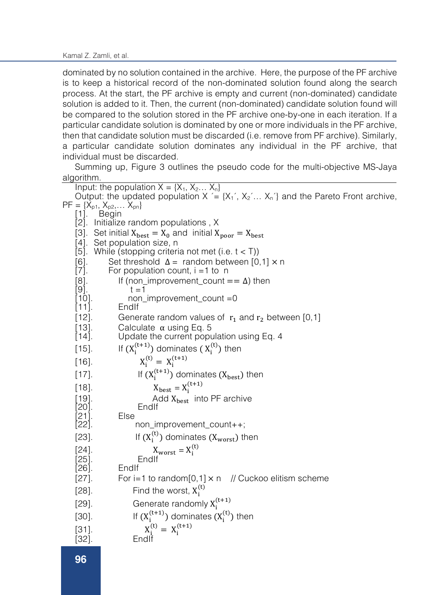Kamal Z. Zamli, et al.

latter or add the new solution to the Pareto front set (termed as PF archive) if it is dominated by no solution contained in the archive. Here, the purpose of the PF archive is to keep a historical record of the non-dominated solution found along the search process. At the start, the PF archive is empty and current (non-dominated) candidate solution is added to it. Then, the current (non-dominated) candidate solution found will be compared to the solution stored in the PF archive one-by-one in each iteration. If a particular candidate solution is dominated by one or more individuals in the PF archive, then that candidate solution must be discarded (i.e. remove from PF archive). Similarly, a particular candidate solution dominates any individual in the PF archive, that individual must be discarded.

Summing up, Figure 3 outlines the pseudo code for the multi-objective MS-Jaya algorithm.

|              | Input: the population $X = \{X_1, X_2, \ldots X_n\}$                                                     |
|--------------|----------------------------------------------------------------------------------------------------------|
|              | Output: the updated population $X = \{X_1, X_2, \ldots, X_n\}$ and the Pareto Front archive,             |
|              | $PF = \{X_{p1}, X_{p2}, \dots X_{pn}\}$                                                                  |
|              | [1]. Begin                                                                                               |
|              | [2]. Initialize random populations, X                                                                    |
|              | [3]. Set initial $X_{best} = X_0$ and initial $X_{poor} = X_{best}$                                      |
|              | [4]. Set population size, n                                                                              |
|              | [5]. While (stopping criteria not met (i.e. $t < T$ ))                                                   |
| $[6]$ .      | Set threshold $\Delta =$ random between [0,1] $\times$ n                                                 |
| $[7]$ .      | For population count, $i = 1$ to n                                                                       |
| [8].<br>[9]. | If (non_improvement_count == $\Delta$ ) then<br>$t = 1$                                                  |
| $[10].$      | non_improvement_count =0                                                                                 |
| $[11]$       | Endlf                                                                                                    |
| $[12]$       | Generate random values of $r_1$ and $r_2$ between [0,1]                                                  |
| $[13]$ .     | Calculate $\alpha$ using Eq. 5                                                                           |
| $[14]$ .     | Update the current population using Eq. 4                                                                |
| $[15]$ .     | If $(X_i^{(t+1)})$ dominates $(X_i^{(t)})$ then                                                          |
| $[16].$      | $X_i^{(t)} = X_i^{(t+1)}$                                                                                |
| $[17]$ .     | If $(X_i^{(t+1)})$ dominates $(X_{best})$ then                                                           |
| $[18]$       | $X_{best} = X_i^{(t+1)}$                                                                                 |
| $[19]$ .     | Add $X_{best}$ into PF archive                                                                           |
| $[20]$ .     | Endlf                                                                                                    |
| $[21]$ .     | Else                                                                                                     |
| [22].        | non_improvement_count++;                                                                                 |
| $[23]$ .     | If $(X_i^{(t)})$ dominates $(X_{worst})$ then                                                            |
| $[24]$ .     | $X_{worst} = X_i^{(t)}$                                                                                  |
| $[25]$ .     | Endlf                                                                                                    |
| $[26]$ .     | Endlf                                                                                                    |
| $[27]$ .     | For i=1 to random[0,1] $\times$ n // Cuckoo elitism scheme                                               |
| $[28]$ .     | Find the worst, $X_i^{(t)}$                                                                              |
| $[29]$       | Generate randomly $X_i^{(t+1)}$                                                                          |
| $[30]$ .     | If $(X_i^{(t+1)})$ dominates $(X_i^{(t)})$ then                                                          |
| $[31]$ .     | $\begin{array}{ccl} X_i^{(t)} = & X_i^{(t+1)}\\ \text{End}\mskip 1.5mu\mathrm{I}^\mathrm{f} \end{array}$ |
| $[32].$      |                                                                                                          |
|              |                                                                                                          |

[35]. Discard and remove DEFG from the PF archive

[36]. Else If DEFG dominates any member of existing {Xbest\_1, Xbest\_2,… Xbest\_n} from the PF archive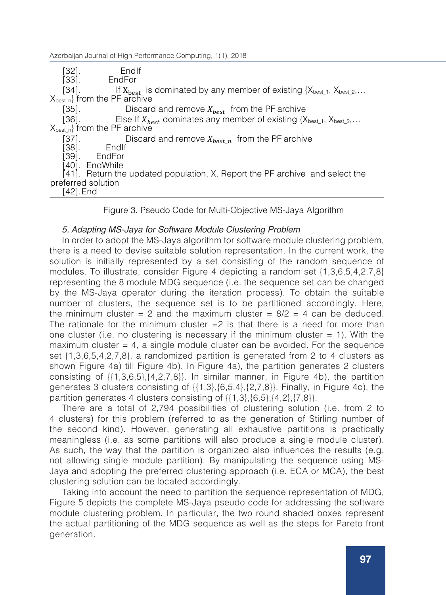rbaijan Journal of High Performance Computing 1(1), 201: Azerbaijan Journal of High Performance Computing, 1(1), 2018<br>[Col]

[31]. X# [32]. EndIf<br>[33]. EndFor

EndFor

[34]. If  $X_{best}$  is dominated by any member of existing { $X_{best\_1}$ ,  $X_{best\_2}$ ,...  $X_{best\_2}$ }

[35]. Discard and remove  $X_{best}$  from the PF archive

[36]. Else If  $X_{best}$  dominates any member of existing  $\{X_{best\_1}, X_{best\_2}, \ldots\}$  from the PF archive

[37]. **Discard and remove**  $X_{best\_n}$  **from the PF archive [38].** Endlf

[38]. EndIf<br>[39]. EndFor

**EndFor** 

[40]. EndWhile

[41]. Return the updated population, X. Report the PF archive and select the preferred solution [42].End

Figure 3. Pseudo Code for Multi-Objective MS-Jaya Algorithm

### *5. Adapting MS-Jaya for Software Module Clustering Problem*

In order to adopt the MS-Jaya algorithm for software module clustering problem, there is a need to devise suitable solution representation. In the current work, the solution is initially represented by a set consisting of the random sequence of modules. To illustrate, consider Figure 4 depicting a random set {1,3,6,5,4,2,7,8} representing the 8 module MDG sequence (i.e. the sequence set can be changed by the MS-Jaya operator during the iteration process). To obtain the suitable number of clusters, the sequence set is to be partitioned accordingly. Here, the minimum cluster = 2 and the maximum cluster =  $8/2$  = 4 can be deduced. The rationale for the minimum cluster  $=2$  is that there is a need for more than one cluster (i.e. no clustering is necessary if the minimum cluster  $= 1$ ). With the maximum cluster  $= 4$ , a single module cluster can be avoided. For the sequence set {1,3,6,5,4,2,7,8}, a randomized partition is generated from 2 to 4 clusters as shown Figure 4a) till Figure 4b). In Figure 4a), the partition generates 2 clusters consisting of  $\{ \{1,3,6,5\}, \{4,2,7,8\} \}$ . In similar manner, in Figure 4b), the partition generates 3 clusters consisting of {{1,3},{6,5,4},{2,7,8}}. Finally, in Figure 4c), the partition generates 4 clusters consisting of  $\{ \{1,3\}, \{6,5\}, \{4,2\}, \{7,8\} \}$ .

There are a total of 2,794 possibilities of clustering solution (i.e. from 2 to 4 clusters) for this problem (referred to as the generation of Stirling number of the second kind). However, generating all exhaustive partitions is practically meaningless (i.e. as some partitions will also produce a single module cluster). As such, the way that the partition is organized also influences the results (e.g. not allowing single module partition). By manipulating the sequence using MS-Jaya and adopting the preferred clustering approach (i.e. ECA or MCA), the best clustering solution can be located accordingly.

Taking into account the need to partition the sequence representation of MDG, Figure 5 depicts the complete MS-Jaya pseudo code for addressing the software module clustering problem. In particular, the two round shaded boxes represent the actual partitioning of the MDG sequence as well as the steps for Pareto front generation.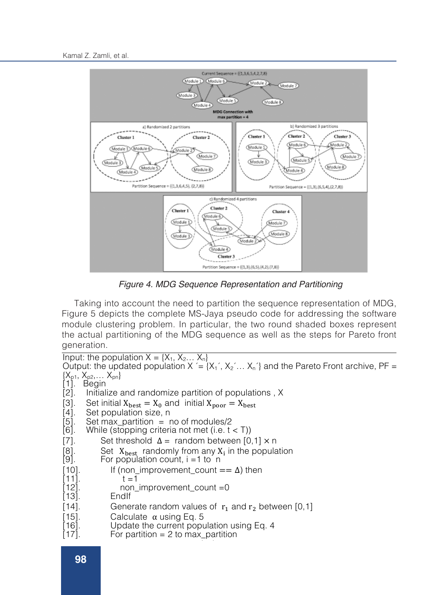

 *Figure 4. MDG Sequence Representation and Partitioning*

Taking into account the need to partition the sequence representation of MDG, Figure 5 depicts the complete MS-Jaya pseudo code for addressing the software module clustering problem. In particular, the two round shaded boxes represent the actual partitioning of the MDG sequence as well as the steps for Pareto front generation.

Input: the population  $X = \{X_1, X_2, \ldots, X_n\}$ Output: the updated population X  $' = \{X_1, X_2, \ldots, X_n\}$  and the Pareto Front archive, PF =  $\{X_{p1}, X_{p2}, \ldots X_{pn}\}$ [1]. Begin<br>[2]. Initial Initialize and randomize partition of populations, X [3]. Set initial  $X_{\text{best}} = X_0$  and initial  $X_{\text{poor}} = X_{\text{best}}$ <br>[4]. Set population size, n [4]. Set population size, n<br>[5]. Set max partition = r [5]. Set max\_partition = no of modules/2<br>[6]. While (stopping criteria not met (i.e. t While (stopping criteria not met (i.e.  $t < T$ )) [7]. Set threshold  $\Delta$  = random between [0,1] × n [8]. Set  $X_{\text{best}}$  randomly from any  $X_i$  in the popula [8]. Set  $X_{\text{best}}$  randomly from any  $X_i$  in the population [9]. For population count, i = 1 to n For population count,  $i = 1$  to n [10]. If (non\_improvement\_count ==  $\Delta$ ) then [11]. [11].<br>[12]. [12]. non\_improvement\_count =0<br>[13]. EndIf **EndIf** [14]. Generate random values of  $r_1$  and  $r_2$  between [0,1] [15]. Calculate  $\alpha$  using Eq. 5 [15]. Calculate α using Eq. 5<br>[16]. Update the current popu [16]. Update the current population using Eq. 4<br>[17]. For partition = 2 to max partition For partition  $= 2$  to max\_partition

[20]. X. [21]. If (X.

 $\mathbb{Z}^2$  . X"  $\mathbb{Z}^2$  ,  $\mathbb{Z}^2$  ,  $\mathbb{Z}^2$  ,  $\mathbb{Z}^2$  ,  $\mathbb{Z}^2$  ,  $\mathbb{Z}^2$  ,  $\mathbb{Z}^2$  ,  $\mathbb{Z}^2$  ,  $\mathbb{Z}^2$  ,  $\mathbb{Z}^2$  ,  $\mathbb{Z}^2$  ,  $\mathbb{Z}^2$  ,  $\mathbb{Z}^2$  ,  $\mathbb{Z}^2$  ,  $\mathbb{Z}^2$  ,  $\mathbb{Z}^2$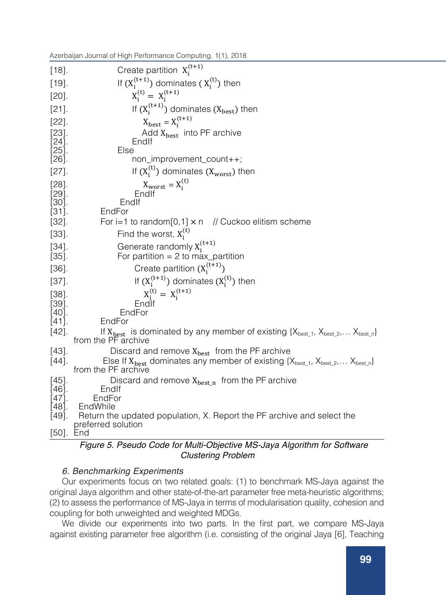[16]. Update the current population using Eq. 4 Azerbaijan Journal of High Performance Computing, 1(1), 2018<br>————————————————————

| $[18]$             | Create partition $X_i^{(t+1)}$                                                                                                 |
|--------------------|--------------------------------------------------------------------------------------------------------------------------------|
| $[19].$            | If $(X_i^{(t+1)})$ dominates $(X_i^{(t)})$ then                                                                                |
| $[20]$ .           | $X_i^{(t)} = X_i^{(t+1)}$                                                                                                      |
| $[21]$ .           | If $(X_i^{(t+1)})$ dominates $(X_{best})$ then                                                                                 |
| $[22]$ .           | $X_{best} = X_i^{(t+1)}$                                                                                                       |
| $[23]$             | Add $X_{best}$ into PF archive                                                                                                 |
| [24].<br>[25].     | Endlf<br>Else                                                                                                                  |
| [26].              | non_improvement_count++;                                                                                                       |
| $[27]$             | If $(X_i^{(t)})$ dominates $(X_{worst})$ then                                                                                  |
| $[28]$ .           | $\begin{array}{c} \mathbf{X}_{\text{worst}} = \mathbf{X}_{\text{i}}^{(\text{t})} \\ \text{End}\mathsf{l}\text{f} \end{array}$  |
| $[29]$ .           |                                                                                                                                |
| $[30]$<br>$[31]$ . | Endlf<br>EndFor                                                                                                                |
| $[32].$            | // Cuckoo elitism scheme<br>For i=1 to random[0,1] $\times$ n                                                                  |
| $[33].$            | Find the worst, $X_i^{(t)}$                                                                                                    |
| $[34]$             | Generate randomly $X_i^{(t+1)}$                                                                                                |
| $[35].$            | For partition = $2$ to max_partition                                                                                           |
| $[36]$             | Create partition $(X_i^{(t+1)})$                                                                                               |
| $[37]$             | If $(X_i^{(t+1)})$ dominates $(X_i^{(t)})$ then                                                                                |
| $[38].$            | $X_i^{(t)} = X_i^{(t+1)}$                                                                                                      |
| [39].              | Endif                                                                                                                          |
| [40].<br>$[41]$ .  | EndFor<br>EndFor                                                                                                               |
| [42]               | If $X_{best}$ is dominated by any member of existing $\{X_{best\_1}, X_{best\_2}, \ldots X_{best\_n}\}$<br>from the PF archive |
| $[43]$             | Discard and remove $X_{best}$ from the PF archive                                                                              |
| $[44]$ .           | Else If $X_{best}$ dominates any member of existing $\{X_{best\_1}, X_{best\_2}, \ldots X_{best\_n}\}$                         |
|                    | from the PF archive                                                                                                            |
| $[45]$             | Discard and remove $X_{best n}$ from the PF archive                                                                            |
| $[46]$ .<br>[47].  | Endit<br>EndFor                                                                                                                |
| $[48]$ .           | EndWhile                                                                                                                       |
| $[49]$ .           | Return the updated population, X. Report the PF archive and select the                                                         |
| $[50]$ .           | preferred solution<br><b>L</b> nd                                                                                              |

*Figure 5. Pseudo Code for Multi-Objective MS-Jaya Algorithm for Software Clustering Problem*

## *6. Benchmarking Experiments*

Our experiments focus on two related goals: (1) to benchmark MS-Jaya against the original Jaya algorithm and other state-of-the-art parameter free meta-heuristic algorithms; (2) to assess the performance of MS-Jaya in terms of modularisation quality, cohesion and coupling for both unweighted and weighted MDGs.

We divide our experiments into two parts. In the first part, we compare MS-Jaya against existing parameter free algorithm (i.e. consisting of the original Jaya [6], Teaching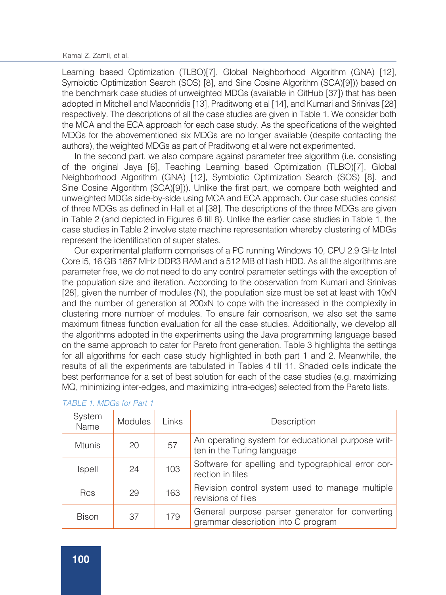Learning based Optimization (TLBO)[7], Global Neighborhood Algorithm (GNA) [12], Symbiotic Optimization Search (SOS) [8], and Sine Cosine Algorithm (SCA)[9])) based on the benchmark case studies of unweighted MDGs (available in GitHub [37]) that has been adopted in Mitchell and Maconridis [13], Praditwong et al [14], and Kumari and Srinivas [28] respectively. The descriptions of all the case studies are given in Table 1. We consider both the MCA and the ECA approach for each case study. As the specifications of the weighted MDGs for the abovementioned six MDGs are no longer available (despite contacting the authors), the weighted MDGs as part of Praditwong et al were not experimented.

In the second part, we also compare against parameter free algorithm (i.e. consisting of the original Jaya [6], Teaching Learning based Optimization (TLBO)[7], Global Neighborhood Algorithm (GNA) [12], Symbiotic Optimization Search (SOS) [8], and Sine Cosine Algorithm (SCA)[9])). Unlike the first part, we compare both weighted and unweighted MDGs side-by-side using MCA and ECA approach. Our case studies consist of three MDGs as defined in Hall et al [38]. The descriptions of the three MDGs are given in Table 2 (and depicted in Figures 6 till 8). Unlike the earlier case studies in Table 1, the case studies in Table 2 involve state machine representation whereby clustering of MDGs represent the identification of super states.

Our experimental platform comprises of a PC running Windows 10, CPU 2.9 GHz Intel Core i5, 16 GB 1867 MHz DDR3 RAM and a 512 MB of flash HDD. As all the algorithms are parameter free, we do not need to do any control parameter settings with the exception of the population size and iteration. According to the observation from Kumari and Srinivas [28], given the number of modules (N), the population size must be set at least with 10xN and the number of generation at 200xN to cope with the increased in the complexity in clustering more number of modules. To ensure fair comparison, we also set the same maximum fitness function evaluation for all the case studies. Additionally, we develop all the algorithms adopted in the experiments using the Java programming language based on the same approach to cater for Pareto front generation. Table 3 highlights the settings for all algorithms for each case study highlighted in both part 1 and 2. Meanwhile, the results of all the experiments are tabulated in Tables 4 till 11. Shaded cells indicate the best performance for a set of best solution for each of the case studies (e.g. maximizing MQ, minimizing inter-edges, and maximizing intra-edges) selected from the Pareto lists.

| System<br>Name | <b>Modules</b> | <b>Links</b> | Description                                                                           |
|----------------|----------------|--------------|---------------------------------------------------------------------------------------|
| <b>Mtunis</b>  | 20             | 57           | An operating system for educational purpose writ-<br>ten in the Turing language       |
| Ispell         | 24             | 103          | Software for spelling and typographical error cor-<br>rection in files                |
| <b>Rcs</b>     | 29             | 163          | Revision control system used to manage multiple<br>revisions of files                 |
| <b>Bison</b>   | 37             | 179          | General purpose parser generator for converting<br>grammar description into C program |

| TABLE 1. MDGs for Part 1 |  |  |
|--------------------------|--|--|
|                          |  |  |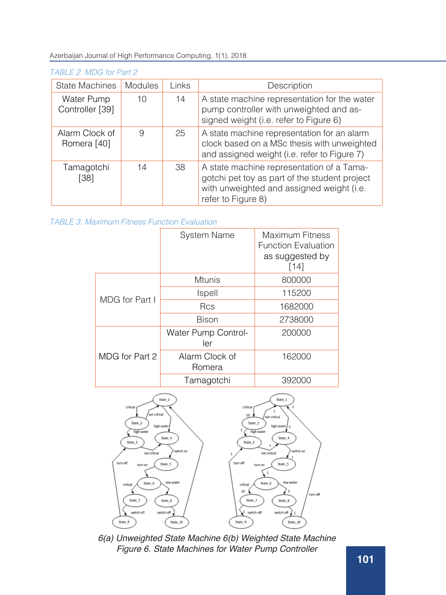### *TABLE 2. MDG for Part 2*

| <b>State Machines</b>         | <b>Modules</b> | Links | Description                                                                                                                                                   |
|-------------------------------|----------------|-------|---------------------------------------------------------------------------------------------------------------------------------------------------------------|
| Water Pump<br>Controller [39] | 10             | 14    | A state machine representation for the water<br>pump controller with unweighted and as-<br>signed weight (i.e. refer to Figure 6)                             |
| Alarm Clock of<br>Romera [40] | 9              | 25    | A state machine representation for an alarm<br>clock based on a MSc thesis with unweighted<br>and assigned weight (i.e. refer to Figure 7)                    |
| Tamagotchi<br>[38]            | 14             | 38    | A state machine representation of a Tama-<br>gotchi pet toy as part of the student project<br>with unweighted and assigned weight (i.e.<br>refer to Figure 8) |

|                | <b>System Name</b>         | Maximum Fitness<br><b>Function Evaluation</b><br>as suggested by<br>[14] |
|----------------|----------------------------|--------------------------------------------------------------------------|
|                | <b>Mtunis</b>              | 800000                                                                   |
| MDG for Part I | Ispell                     | 115200                                                                   |
|                | <b>Rcs</b>                 | 1682000                                                                  |
|                | <b>Bison</b>               | 2738000                                                                  |
|                | Water Pump Control-<br>ler | 200000                                                                   |
| MDG for Part 2 | Alarm Clock of<br>Romera   | 162000                                                                   |
|                | Tamagotchi                 | 392000                                                                   |



*6(a) Unweighted State Machine 6(b) Weighted State Machine Figure 6. State Machines for Water Pump Controller*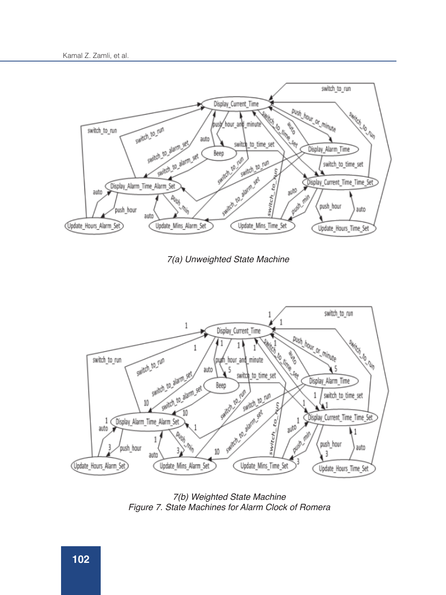

*7(a) Unweighted State Machine*



*7(b) Weighted State Machine Figure 7. State Machines for Alarm Clock of Romera*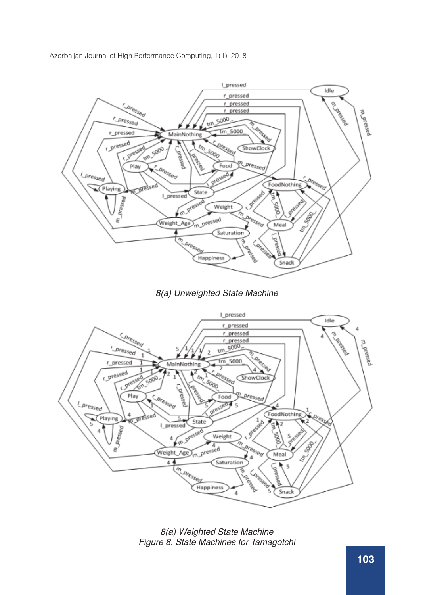





*8(a) Weighted State Machine Figure 8. State Machines for Tamagotchi*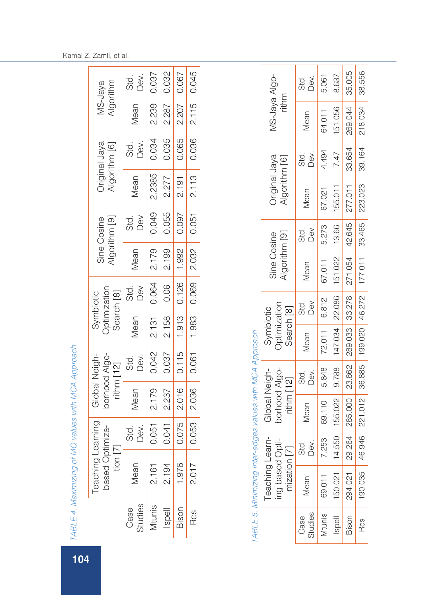| MS-Jaya<br>Algorithm                                                                    | Std.<br>Dev.                         |                   | 0.037                                                            | 0.067          | 0.045      |  |
|-----------------------------------------------------------------------------------------|--------------------------------------|-------------------|------------------------------------------------------------------|----------------|------------|--|
|                                                                                         | Vlean                                | 2.239             | 2.287                                                            | 2.207          | 2.115      |  |
| Original Jaya<br>Algorithm [6]                                                          | std.<br>Dev. 0.035<br>0.035<br>0.065 |                   |                                                                  |                | 0.036      |  |
|                                                                                         | Vlean                                | 2.2385            |                                                                  | 2.277<br>2.191 | 2.113      |  |
| Sine Cosine<br>Algorithm [9]                                                            | Std.<br>Dev<br>0.049<br>0.055        |                   |                                                                  |                | 0.051      |  |
|                                                                                         | Mean                                 | 2.179             | 2.199                                                            | 1.992          | 2.032      |  |
| Symbiotic<br>Optimization<br>Search [8]<br>Mean Std.<br>Mean Dev<br>131 0.064           |                                      |                   | $\begin{array}{c c} \hline 0.06 & \text{-} \\\hline \end{array}$ | 0.126          | 0.069      |  |
|                                                                                         | Mean                                 | $-12.131$ .       |                                                                  | 2.158          | $-1.983$   |  |
| Global Neigh-<br>borhood Algo-<br>ithm [12]<br>Vlean Std.<br>1.179 0.042<br>1.179 0.042 |                                      |                   |                                                                  | $-1.0115$      | $-0.061$   |  |
|                                                                                         |                                      | 2.179             | 2.237                                                            | 2.016          | 2.036      |  |
| -earning<br>ptimiza-                                                                    | Std.<br>Dev.<br>0.051<br>0.075       |                   |                                                                  |                | 0.053      |  |
| eaching<br>O besec<br>ion                                                               | Mean                                 | 2.161             | 2.194                                                            | 1.976          | 2.017      |  |
|                                                                                         | Case                                 | Studies<br>Mtunis | Ispell                                                           | Bison          | <b>Rcs</b> |  |

| י המה<br>NUV<br>V<br>Į               |  |
|--------------------------------------|--|
|                                      |  |
| $\tilde{\zeta}$<br>$-4$ MM $-4$<br>Ì |  |
|                                      |  |
| )                                    |  |
| mirina a<br>Î<br>$\overline{M}$      |  |
|                                      |  |
| $E_4$<br>ך<br>ד                      |  |
| I<br>4<br>O                          |  |

| ı                        |
|--------------------------|
|                          |
| I                        |
|                          |
|                          |
| Ï                        |
| ١                        |
| ļ                        |
|                          |
| ļ                        |
|                          |
|                          |
|                          |
|                          |
| Ī                        |
|                          |
| I                        |
|                          |
|                          |
|                          |
|                          |
| j                        |
|                          |
|                          |
|                          |
|                          |
|                          |
| $\frac{1}{2}$            |
|                          |
|                          |
|                          |
|                          |
|                          |
|                          |
|                          |
| $\overline{\phantom{a}}$ |
|                          |
|                          |
| ١                        |
|                          |
|                          |
|                          |
| ١                        |
|                          |
| Ĵ                        |
|                          |
| i                        |
|                          |
|                          |
|                          |
|                          |
|                          |
|                          |
|                          |
|                          |
| ١                        |
|                          |
|                          |
|                          |
| į                        |
|                          |
|                          |
|                          |
|                          |
|                          |
| りりろでり とりすこ うりこうこうこ       |
|                          |
|                          |
|                          |
|                          |
| Í                        |
| ļ                        |
|                          |
| l<br>J                   |
| j                        |
|                          |
|                          |
|                          |
|                          |
| TARI.                    |

| TABLE 5. Minimizing inter | r-edges values with MCA Approach |              |                     |             |                                                    |             |         |                                |                        |              |
|---------------------------|----------------------------------|--------------|---------------------|-------------|----------------------------------------------------|-------------|---------|--------------------------------|------------------------|--------------|
| Teaching Learn-           | Global Neigh-                    |              | Symbiotic           |             |                                                    |             |         |                                |                        |              |
| Opti-<br>ing based        | porhood Algo-                    |              | <b>Optimization</b> |             | Sine Cosine                                        |             |         | Original Jaya<br>Algorithm [6] | MS-Jaya Algo-<br>rithm |              |
| $\boxed{7}$<br>mization   | rithm <sub>[12]</sub>            |              | Search [8]          |             | Ngorithm <sup>[9]</sup>                            |             |         |                                |                        |              |
| Dev.<br>Std.              | Mean                             | std.<br>Dev. | Mean                | Std.<br>Dev | Mean                                               | std.<br>Dev | Mean    | Std.<br>Dev.                   | Mean                   | std.<br>Dev. |
| 7.253                     | 69.110                           | 5.848        | 72.011              | 6.812       | 67.011                                             | 5.273       | 67.021  | 4.494                          | 64.011                 | 5.061        |
| 4.550                     | 155.022                          | 9.788        | 147.034   22.086    |             | 151.022                                            | 13.66       | 155.011 | 7.47                           | 151.056                | 8.637        |
|                           | 9.264   285.000                  | 23.862       |                     |             | 289.033 33.278 271.054 42.645                      |             | 277.011 | 33.654                         | 269.044                | 35.005       |
|                           |                                  |              |                     |             | 6.946 221.012 36.885 199.020 46.272 177.011 33.465 |             | 223.023 | 39.164                         | 218.034                | 38.556       |
|                           |                                  |              |                     |             |                                                    |             |         |                                |                        |              |

## Kamal Z. Zamli, et al.

104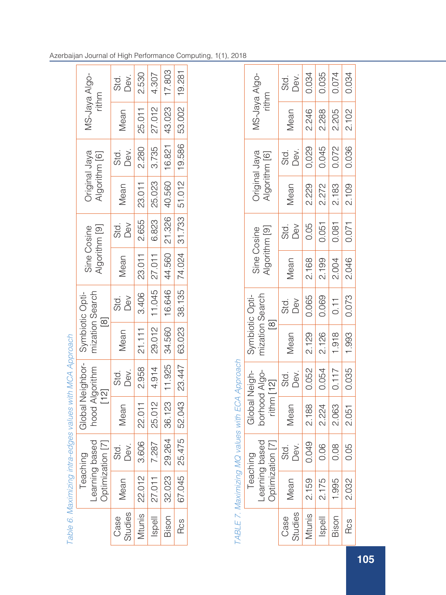|                                                    |                  | std.<br>Dev.    | 2.530  | 4.307        | 17.803               | 19.281                                     |
|----------------------------------------------------|------------------|-----------------|--------|--------------|----------------------|--------------------------------------------|
| MS-Jaya Algo-<br>rithm                             |                  | Mean            | 25.011 | 27.012       | 16.821 43.023        | 53.002                                     |
| Original Jaya<br>Algorithm [6]                     |                  | Std.<br>Dev.    | 2.280  | $3.735$      |                      |                                            |
|                                                    |                  | Mean            | 23.011 | 25.023       | 44.560 21.326 40.560 | 38.135   74.024   31.733   51.012   19.586 |
| <b>Algorithm</b> [9]<br>Sine Cosine                |                  | Std.<br>Dev     | 2.655  | 6.823        |                      |                                            |
|                                                    |                  | Mean            | 23.011 | 27.011       |                      |                                            |
| mization Search                                    |                  | Std.<br>Dev     | 3.406  | 11.045       | 16.646               |                                            |
| Global Neighbor-<br>Symbiotic Opti-<br>$\boxed{8}$ |                  | Mean            | 21.111 | 4.914 29.012 | 34.560               |                                            |
|                                                    |                  | Std.<br>Dev.    | 2.958  |              |                      | 67.045   25.475   52.043   23.447   63.023 |
| hood Algorithm<br>$[12]$                           |                  | Mean            | 22.011 | 25.012       | 36.123 11.925        |                                            |
| -earning based                                     | Optimization [7] | Std.<br>Dev.    | 3.606  | 7.287        | 29.264               |                                            |
| Teaching                                           |                  | Mean            | 22.012 | 27.011       | 32.023               |                                            |
|                                                    |                  | Studies<br>Case | Mtunis | Ispell       | Bison                | Rcs                                        |

|                                                         | MS-Jaya Algo-<br>rithm                                                   | Std.<br>Dev.                                         |       |                                                | 0.034<br>0.035<br>0.074 | 0.034         |
|---------------------------------------------------------|--------------------------------------------------------------------------|------------------------------------------------------|-------|------------------------------------------------|-------------------------|---------------|
|                                                         |                                                                          | Vlean                                                |       |                                                | 2.246<br>2.288<br>2.205 | 2.102         |
|                                                         | Original Jaya<br>Algorithm [6]                                           | Std.<br>Dev.                                         |       |                                                | 0,029<br>0.045<br>0.072 | 0.036         |
|                                                         |                                                                          | Mean                                                 |       |                                                | 2.229<br>2.272<br>2.183 | 2.109         |
|                                                         | Sine Cosine<br>Algorithm [9]                                             | Std.<br>Dev                                          |       | $\begin{array}{c c} 0.05 \\ 0.051 \end{array}$ | 0.081                   | $-0.071$      |
|                                                         |                                                                          | Mean                                                 |       | $\frac{2.168}{2.199}$                          | 2.004                   | 2.046         |
|                                                         | Symbiotic Opti-<br>mization Search<br>[8]                                | $\begin{array}{l} {\rm Std}\\ {\sf DeV} \end{array}$ |       | 0.065                                          | $\boxed{1}$             | 0.073         |
|                                                         |                                                                          | Mean                                                 | 2.129 | 2.126                                          | 1.918                   | $-666.1$      |
|                                                         | Global Neigh-<br>borhood Algo-<br>rithm [12]<br>Mean Std.<br>Mean Dev.   |                                                      |       | 0.052                                          | 10.117                  | 2.051   0.035 |
| I HDFF I - I MAXIIIIITI II V V VIV V WILI FOH HODI DADI |                                                                          |                                                      | 2.188 | 2.224                                          | 2.063                   |               |
|                                                         | Teaching<br>Learning based<br>Optimization [7]<br>Mean Std.<br>Mean Dev. |                                                      |       |                                                | 0.049<br>0.06<br>0.08   | 0.05          |
|                                                         | Teachir                                                                  |                                                      | 2.159 | 2.175                                          | 1.995                   | 2.032         |
|                                                         |                                                                          | Case<br>Studies<br>Mtunis                            |       | $\frac{1}{2}$ lispell                          | Bison                   | Rcs           |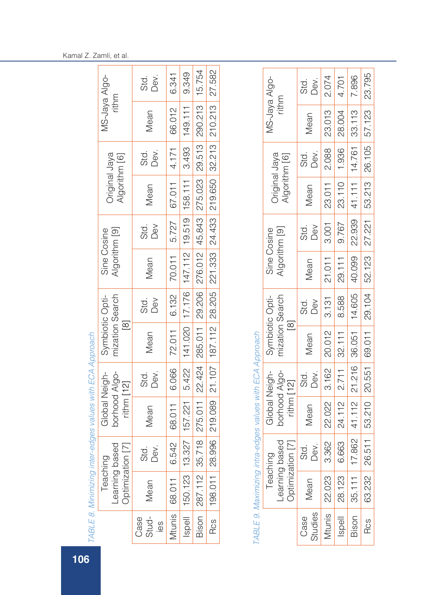| $\overline{106}$ |                      |                                          |                                                | TABLE 8. Minimizing inter-edges values with ECA Approach                                                |              |                                         |                 |                              |                    |                                |              |                        |       |
|------------------|----------------------|------------------------------------------|------------------------------------------------|---------------------------------------------------------------------------------------------------------|--------------|-----------------------------------------|-----------------|------------------------------|--------------------|--------------------------------|--------------|------------------------|-------|
|                  |                      | Learning bas<br>Optimization<br>Teaching | Ö9<br>$\Box$                                   | borhood Algo-<br>Global Neigh-<br>$ritnm$ [12]                                                          |              | Symbiotic Opti-<br>$\boxed{8}$          | mization Search | Algorithm [9]<br>Sine Cosine |                    | Original Jaya<br>Algorithm [6] |              | MS-Jaya Algo-          | rithm |
|                  | Stud-<br>Case<br>Səl | Mean                                     | Std.<br>Dev.                                   | Mean                                                                                                    | Dev.<br>Std. | Mean                                    | Dev<br>Std.     | Mean                         | Dev<br>Std.        | Mean                           | Dev.<br>std. | Mean                   |       |
|                  | Mtunis               | 68.011                                   | 6.542                                          | 68.011                                                                                                  | 6.066        | 72.011                                  | 6.132           | 70.011                       | 5.727              | 67.011                         | 4.171        | 66.012                 |       |
|                  | llspell              | 150.123                                  | 13.327                                         | 157.221                                                                                                 | 5.422        | 141.020                                 | 17.176          | 147.112                      | 19.519             | 158.111                        | 3.493        | 149.111                |       |
|                  | Bison                | 287.112                                  | 718<br>35.                                     | 275.011                                                                                                 | 22.424       | 285.011                                 | 29.206          | 276.012                      | 45.843             | 275.023                        | 29.513       | 290.213                |       |
|                  | <b>Rcs</b>           | 198.011                                  | 996<br>28.5                                    | 219.089                                                                                                 | 21.107       | 187.112                                 | 28.205          | 221.333                      | 24.433             | 219.650                        | 32.213       | 210.213                |       |
|                  |                      |                                          | Learning based<br>Optimization [7]<br>Teaching | TABLE 9. Maximizing intra-edges values with ECA Approach<br>borhood Algo-<br>Global Neigh-<br>rithm[12] |              | mization Search<br>Symbiotic Opti-<br>⊠ |                 | Algorithm [9]<br>Sine Cosine |                    | Original Jaya<br>Algorithm [6] |              | MS-Jaya Algo-<br>rithm |       |
|                  | Studies<br>Case      | Mean                                     | Std.<br>Dev.                                   | Mean                                                                                                    | Dev.<br>std. | Mean                                    | Dev<br>Std.     | Mean                         | <b>Dev</b><br>Std. | Mean                           | Dev.<br>std. | Mean                   |       |
|                  | Mtunis               | 22.023                                   | 3.362                                          | 22.022                                                                                                  | 3.162        | 20.012                                  | 3.131           | 21.011                       | 3.001              | 23.011                         | 2.088        | 23.013                 |       |
|                  | llspell              | 28.123                                   | 6.663                                          | 24.112                                                                                                  | 2.711        | 32.111                                  | 8.588           | 29.111                       | 9.767              | 23.110                         | 1.936        | 28.004                 |       |
|                  | Bison                | 35.111                                   | 17.862                                         | 41.112                                                                                                  | 21.216       | 36.051                                  | 14.605          | 40.099                       | 22.939             | 41.111                         | 14.761       | 33.113                 |       |

Rcs 63.232 26.511 53.210 20.551 69.011 29.104 52.123 27.221 53.213 26.105 57.123 23.795

29.104

69.011

 $20.551$ 

53.210

26.511

63.232

Rcs

52.123

23.795

57.123

26.105

53.213

27.221

Kamal Z. Zamli, et al.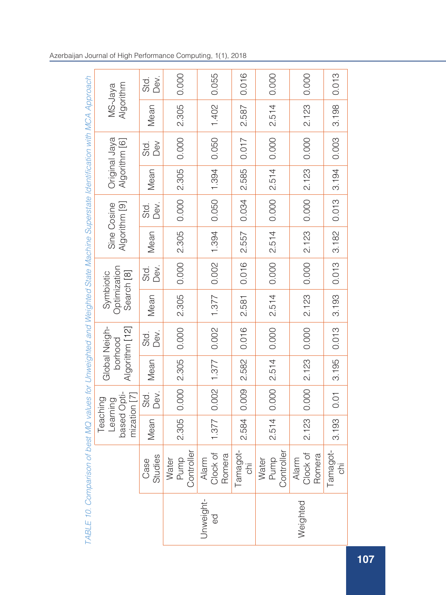|                                                                                                                              |                                                     | Dev.<br>Std.       | 0.000                                                                | 0.055                           | 0.016           | 0.000                       | 0.000                       | 0.013           |
|------------------------------------------------------------------------------------------------------------------------------|-----------------------------------------------------|--------------------|----------------------------------------------------------------------|---------------------------------|-----------------|-----------------------------|-----------------------------|-----------------|
| TABLE 10. Comparison of best MQ values for Unweighted and Weighted State Machine Superstate Identification with MCA Approach | Algorithm<br>MS-Jaya                                | Mean               | 2.305                                                                | 1.402                           | 2.587           | 2.514                       | 2.123                       | 3.198           |
|                                                                                                                              | Original<br>Jaya<br>Algorithm [6]                   | Dev<br>Std.        | 0.000                                                                | 0.050                           | 0.017           | 0.000                       | 0.000                       | 0.003           |
|                                                                                                                              |                                                     | Mean               | 2.305                                                                | 1.394                           | 2.585           | 2.514                       | 2.123                       | 3.194           |
|                                                                                                                              | Algorithm [9]<br>Sine Cosine                        | Dev.<br>Std.       | 0.000                                                                | 0.050                           | 0.034           | 0.000                       | 0.000                       | 0.013           |
|                                                                                                                              |                                                     | Mean               | 2.305                                                                | 1.394                           | 2.557           | 2.514                       | 2.123                       | 3.182           |
|                                                                                                                              | Optimization<br>Search [8]<br>Symbiotic             | Dev.<br>std.<br>Si | 0.000                                                                | 0.002                           | 0.016           | 0.000                       | 0.000                       | 0.013           |
|                                                                                                                              |                                                     | Mean               | 2.305                                                                | 1.377                           | 2.581           | 2.514                       | 2.123                       | 3.193           |
|                                                                                                                              | Global Neigh-<br>Algorithm [12]<br>borhood          | Dev.<br>std.       | 0.000                                                                | 0.002                           | 0.016           | 0.000                       | 0.000                       | 0.013           |
|                                                                                                                              |                                                     | Mean               | 2.305                                                                |                                 | 2.582           | 2.514                       | 2.123                       | 3.195           |
|                                                                                                                              | based Opti-<br>mization [7]<br>Teaching<br>Learning | Dev.<br>std.<br>Si | 0.000                                                                | $1.377$ 0.002 1.377             | 0.009           | 2.514 0.000                 | 0.000                       | 0.01            |
|                                                                                                                              |                                                     | Mean               | 2.305                                                                |                                 | 2.584           |                             | 2.123                       | 3.193           |
|                                                                                                                              |                                                     | Studies<br>Case    | $\stackrel{\text{\tiny \textsf{b}}}{=}$<br>Water<br>Pump<br>Controll | đ<br>Romera<br>Alarm<br>Clock c | Tamagot-<br>chi | Water<br>Pump<br>Controller | Alarm<br>Clock of<br>Romera | Tamagot-<br>chi |
|                                                                                                                              |                                                     |                    | Unweight-<br>$\frac{1}{9}$                                           |                                 |                 | Weighted                    |                             |                 |
|                                                                                                                              |                                                     |                    |                                                                      |                                 |                 |                             |                             |                 |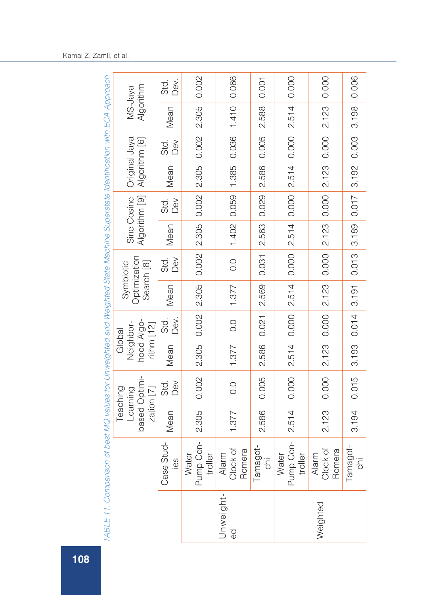|                                                     | Dev.<br>Std.                                | 0.002                         | 0.066                       | 0.001                          | 0.000                         | 0.000                       | 0.006         |
|-----------------------------------------------------|---------------------------------------------|-------------------------------|-----------------------------|--------------------------------|-------------------------------|-----------------------------|---------------|
| Algorithm<br>MS-Jaya                                | Mean                                        | 2.305                         | 1.410                       | 2.588                          | 2.514                         | 2.123                       | 3.198         |
| Original<br>Jaya                                    | <b>Dev</b><br>sid.<br>Si                    | 0.002                         | 0.036                       | 0.005                          | 0.000                         | $\overline{0.000}$          | 0.003         |
| Algorithm [6]                                       | Mean                                        | 2.305                         | 1.402 0.059 1.385           | 2.586                          | 2.514                         | 2.123                       | 3.192         |
| Algorithm [9]<br>Sine Cosine                        | Dev<br>Std.                                 |                               |                             | 0.029                          | 0.000                         | 0.000                       | 0.017         |
|                                                     | Mean                                        | $0.002$ 2.305 0.002           |                             | 2.563                          | 2.514                         | 2.123                       | 3.189         |
| Optimization<br>Search <sup>[8]</sup><br>Symbiotic  | De <sub>V</sub><br>std.<br>Si               |                               | $\overline{0}$ .            | 0.031                          | 0.000                         | 0.000                       | 0.013         |
|                                                     | Mean                                        | 2.305                         | 1.377                       | 2.569                          | 2.514                         | 2.123                       | 3.191         |
|                                                     | sid.<br>Si<br>Dev.                          | 0.002                         | 0.0                         | 0.021                          | 0.000                         | 0.000                       | 0.014         |
| hood Algo-<br>Neighbor-<br>$rithm$ [12]<br>Global   | Mean                                        | 2.305                         | 1.377                       | 2.586                          | 2.514                         | 2.123                       | 3.193         |
| based Optimi-<br>zation [7]<br>Teaching<br>Learning | std.<br>Dev                                 | 0.002                         | 0.0                         | 0.005                          | 0.000                         | 0.000                       | 0.015         |
|                                                     | Mean                                        | 2.305                         | 1.377                       | 2.586                          | 2.514                         | 2.123                       | 3.194         |
|                                                     | Stud-<br>ပာ<br>Case:<br>$\overline{\sigma}$ | Water<br>Pump Con-<br>troller | Alarm<br>Clock of<br>Romera | Tamagot-<br>$rac{1}{\sqrt{2}}$ | Pump Con-<br>troller<br>Water | Alarm<br>Clock of<br>Romera | Tamagot-<br>Ξ |
|                                                     |                                             | Unweight-<br>$\Theta$         |                             |                                | Weighted                      |                             |               |

TARI E 11. Comparison of best MO values for Universitied and Weighted State Machine Superstate Identification with ECA Approach *TABLE* 11. Comparison of best MQ values for Unweighted and Weighted State Machine Superstate Identification with ECA Approach

## Kamal Z. Zamli, et al.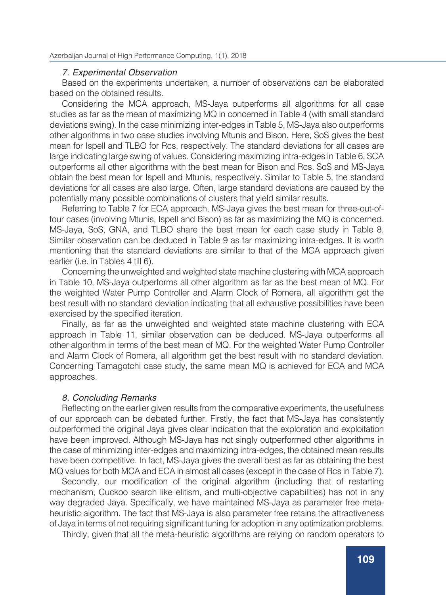#### *7. Experimental Observation*

Based on the experiments undertaken, a number of observations can be elaborated based on the obtained results.

Considering the MCA approach, MS-Jaya outperforms all algorithms for all case studies as far as the mean of maximizing MQ in concerned in Table 4 (with small standard deviations swing). In the case minimizing inter-edges in Table 5, MS-Jaya also outperforms other algorithms in two case studies involving Mtunis and Bison. Here, SoS gives the best mean for Ispell and TLBO for Rcs, respectively. The standard deviations for all cases are large indicating large swing of values. Considering maximizing intra-edges in Table 6, SCA outperforms all other algorithms with the best mean for Bison and Rcs. SoS and MS-Jaya obtain the best mean for Ispell and Mtunis, respectively. Similar to Table 5, the standard deviations for all cases are also large. Often, large standard deviations are caused by the potentially many possible combinations of clusters that yield similar results.

Referring to Table 7 for ECA approach, MS-Jaya gives the best mean for three-out-offour cases (involving Mtunis, Ispell and Bison) as far as maximizing the MQ is concerned. MS-Jaya, SoS, GNA, and TLBO share the best mean for each case study in Table 8. Similar observation can be deduced in Table 9 as far maximizing intra-edges. It is worth mentioning that the standard deviations are similar to that of the MCA approach given earlier (i.e. in Tables 4 till 6).

Concerning the unweighted and weighted state machine clustering with MCA approach in Table 10, MS-Jaya outperforms all other algorithm as far as the best mean of MQ. For the weighted Water Pump Controller and Alarm Clock of Romera, all algorithm get the best result with no standard deviation indicating that all exhaustive possibilities have been exercised by the specified iteration.

Finally, as far as the unweighted and weighted state machine clustering with ECA approach in Table 11, similar observation can be deduced. MS-Jaya outperforms all other algorithm in terms of the best mean of MQ. For the weighted Water Pump Controller and Alarm Clock of Romera, all algorithm get the best result with no standard deviation. Concerning Tamagotchi case study, the same mean MQ is achieved for ECA and MCA approaches.

### *8. Concluding Remarks*

Reflecting on the earlier given results from the comparative experiments, the usefulness of our approach can be debated further. Firstly, the fact that MS-Jaya has consistently outperformed the original Jaya gives clear indication that the exploration and exploitation have been improved. Although MS-Jaya has not singly outperformed other algorithms in the case of minimizing inter-edges and maximizing intra-edges, the obtained mean results have been competitive. In fact, MS-Jaya gives the overall best as far as obtaining the best MQ values for both MCA and ECA in almost all cases (except in the case of Rcs in Table 7).

Secondly, our modification of the original algorithm (including that of restarting mechanism, Cuckoo search like elitism, and multi-objective capabilities) has not in any way degraded Jaya. Specifically, we have maintained MS-Jaya as parameter free metaheuristic algorithm. The fact that MS-Jaya is also parameter free retains the attractiveness of Jaya in terms of not requiring significant tuning for adoption in any optimization problems.

Thirdly, given that all the meta-heuristic algorithms are relying on random operators to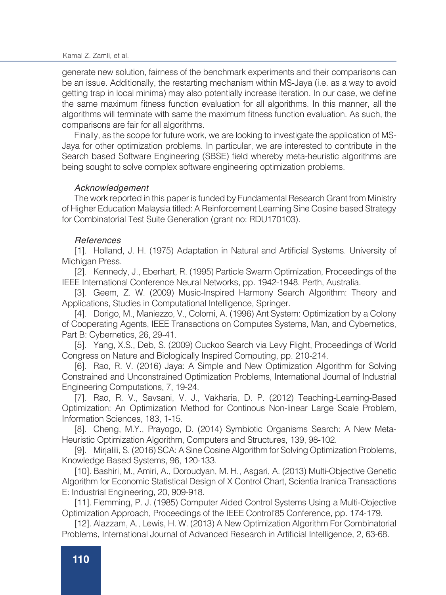generate new solution, fairness of the benchmark experiments and their comparisons can be an issue. Additionally, the restarting mechanism within MS-Jaya (i.e. as a way to avoid getting trap in local minima) may also potentially increase iteration. In our case, we define the same maximum fitness function evaluation for all algorithms. In this manner, all the algorithms will terminate with same the maximum fitness function evaluation. As such, the comparisons are fair for all algorithms.

Finally, as the scope for future work, we are looking to investigate the application of MS-Jaya for other optimization problems. In particular, we are interested to contribute in the Search based Software Engineering (SBSE) field whereby meta-heuristic algorithms are being sought to solve complex software engineering optimization problems.

### *Acknowledgement*

The work reported in this paper is funded by Fundamental Research Grant from Ministry of Higher Education Malaysia titled: A Reinforcement Learning Sine Cosine based Strategy for Combinatorial Test Suite Generation (grant no: RDU170103).

### *References*

[1]. Holland, J. H. (1975) Adaptation in Natural and Artificial Systems. University of Michigan Press.

[2]. Kennedy, J., Eberhart, R. (1995) Particle Swarm Optimization, Proceedings of the IEEE International Conference Neural Networks, pp. 1942-1948. Perth, Australia.

[3]. Geem, Z. W. (2009) Music-Inspired Harmony Search Algorithm: Theory and Applications, Studies in Computational Intelligence, Springer.

[4]. Dorigo, M., Maniezzo, V., Colorni, A. (1996) Ant System: Optimization by a Colony of Cooperating Agents, IEEE Transactions on Computes Systems, Man, and Cybernetics, Part B: Cybernetics, 26, 29-41.

[5]. Yang, X.S., Deb, S. (2009) Cuckoo Search via Levy Flight, Proceedings of World Congress on Nature and Biologically Inspired Computing, pp. 210-214.

[6]. Rao, R. V. (2016) Jaya: A Simple and New Optimization Algorithm for Solving Constrained and Unconstrained Optimization Problems, International Journal of Industrial Engineering Computations, 7, 19-24.

[7]. Rao, R. V., Savsani, V. J., Vakharia, D. P. (2012) Teaching-Learning-Based Optimization: An Optimization Method for Continous Non-linear Large Scale Problem, Information Sciences, 183, 1-15.

[8]. Cheng, M.Y., Prayogo, D. (2014) Symbiotic Organisms Search: A New Meta-Heuristic Optimization Algorithm, Computers and Structures, 139, 98-102.

[9]. Mirjalili, S. (2016) SCA: A Sine Cosine Algorithm for Solving Optimization Problems, Knowledge Based Systems, 96, 120-133.

[10]. Bashiri, M., Amiri, A., Doroudyan, M. H., Asgari, A. (2013) Multi-Objective Genetic Algorithm for Economic Statistical Design of X Control Chart, Scientia Iranica Transactions E: Industrial Engineering, 20, 909-918.

[11]. Flemming, P. J. (1985) Computer Aided Control Systems Using a Multi-Objective Optimization Approach, Proceedings of the IEEE Control'85 Conference, pp. 174-179.

[12]. Alazzam, A., Lewis, H. W. (2013) A New Optimization Algorithm For Combinatorial Problems, International Journal of Advanced Research in Artificial Intelligence, 2, 63-68.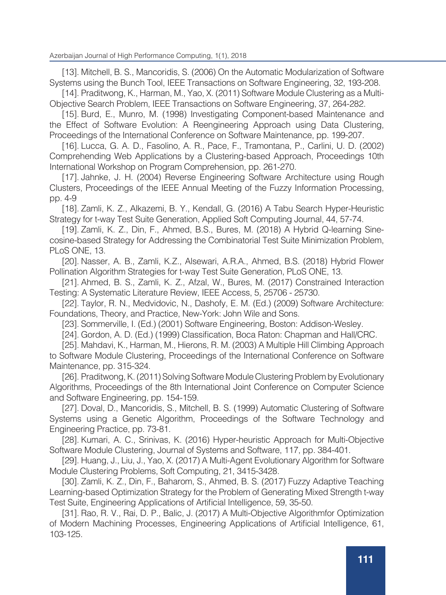[13]. Mitchell, B. S., Mancoridis, S. (2006) On the Automatic Modularization of Software Systems using the Bunch Tool, IEEE Transactions on Software Engineering, 32, 193-208.

[14]. Praditwong, K., Harman, M., Yao, X. (2011) Software Module Clustering as a Multi-Objective Search Problem, IEEE Transactions on Software Engineering, 37, 264-282.

[15]. Burd, E., Munro, M. (1998) Investigating Component-based Maintenance and the Effect of Software Evolution: A Reengineering Approach using Data Clustering, Proceedings of the International Conference on Software Maintenance, pp. 199-207.

[16]. Lucca, G. A. D., Fasolino, A. R., Pace, F., Tramontana, P., Carlini, U. D. (2002) Comprehending Web Applications by a Clustering-based Approach, Proceedings 10th International Workshop on Program Comprehension, pp. 261-270.

[17]. Jahnke, J. H. (2004) Reverse Engineering Software Architecture using Rough Clusters, Proceedings of the IEEE Annual Meeting of the Fuzzy Information Processing, pp. 4-9

[18]. Zamli, K. Z., Alkazemi, B. Y., Kendall, G. (2016) A Tabu Search Hyper-Heuristic Strategy for t-way Test Suite Generation, Applied Soft Computing Journal, 44, 57-74.

[19]. Zamli, K. Z., Din, F., Ahmed, B.S., Bures, M. (2018) A Hybrid Q-learning Sinecosine-based Strategy for Addressing the Combinatorial Test Suite Minimization Problem, PLoS ONE, 13.

[20]. Nasser, A. B., Zamli, K.Z., Alsewari, A.R.A., Ahmed, B.S. (2018) Hybrid Flower Pollination Algorithm Strategies for t-way Test Suite Generation, PLoS ONE, 13.

[21]. Ahmed, B. S., Zamli, K. Z., Afzal, W., Bures, M. (2017) Constrained Interaction Testing: A Systematic Literature Review, IEEE Access, 5, 25706 - 25730.

[22]. Taylor, R. N., Medvidovic, N., Dashofy, E. M. (Ed.) (2009) Software Architecture: Foundations, Theory, and Practice, New-York: John Wile and Sons.

[23]. Sommerville, I. (Ed.) (2001) Software Engineering, Boston: Addison-Wesley.

[24]. Gordon, A. D. (Ed.) (1999) Classification, Boca Raton: Chapman and Hall/CRC.

[25]. Mahdavi, K., Harman, M., Hierons, R. M. (2003) A Multiple Hill Climbing Approach to Software Module Clustering, Proceedings of the International Conference on Software Maintenance, pp. 315-324.

[26]. Praditwong, K. (2011) Solving Software Module Clustering Problem by Evolutionary Algorithms, Proceedings of the 8th International Joint Conference on Computer Science and Software Engineering, pp. 154-159.

[27]. Doval, D., Mancoridis, S., Mitchell, B. S. (1999) Automatic Clustering of Software Systems using a Genetic Algorithm, Proceedings of the Software Technology and Engineering Practice, pp. 73-81.

[28]. Kumari, A. C., Srinivas, K. (2016) Hyper-heuristic Approach for Multi-Objective Software Module Clustering, Journal of Systems and Software, 117, pp. 384-401.

[29]. Huang, J., Liu, J., Yao, X. (2017) A Multi-Agent Evolutionary Algorithm for Software Module Clustering Problems, Soft Computing, 21, 3415-3428.

[30]. Zamli, K. Z., Din, F., Baharom, S., Ahmed, B. S. (2017) Fuzzy Adaptive Teaching Learning-based Optimization Strategy for the Problem of Generating Mixed Strength t-way Test Suite, Engineering Applications of Artificial Intelligence, 59, 35-50.

[31]. Rao, R. V., Rai, D. P., Balic, J. (2017) A Multi-Objective Algorithmfor Optimization of Modern Machining Processes, Engineering Applications of Artificial Intelligence, 61, 103-125.